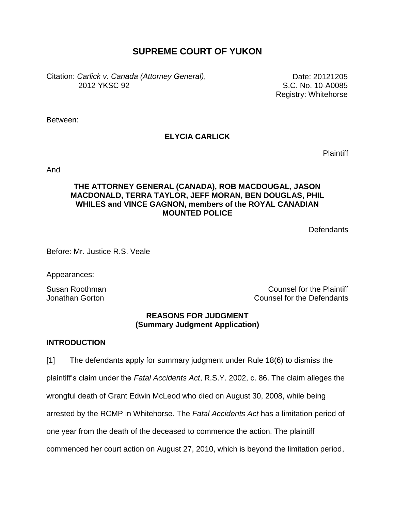# **SUPREME COURT OF YUKON**

Citation: *Carlick v. Canada (Attorney General)*, 2012 YKSC 92

Date: 20121205 S.C. No. 10-A0085 Registry: Whitehorse

Between:

# **ELYCIA CARLICK**

**Plaintiff** 

And

## **THE ATTORNEY GENERAL (CANADA), ROB MACDOUGAL, JASON MACDONALD, TERRA TAYLOR, JEFF MORAN, BEN DOUGLAS, PHIL WHILES and VINCE GAGNON, members of the ROYAL CANADIAN MOUNTED POLICE**

Defendants

Before: Mr. Justice R.S. Veale

Appearances:

Susan Roothman Counsel for the Plaintiff Jonathan Gorton Counsel for the Defendants

## **REASONS FOR JUDGMENT (Summary Judgment Application)**

## **INTRODUCTION**

[1] The defendants apply for summary judgment under Rule 18(6) to dismiss the plaintiff's claim under the *Fatal Accidents Act*, R.S.Y. 2002, c. 86. The claim alleges the wrongful death of Grant Edwin McLeod who died on August 30, 2008, while being arrested by the RCMP in Whitehorse. The *Fatal Accidents Act* has a limitation period of one year from the death of the deceased to commence the action. The plaintiff commenced her court action on August 27, 2010, which is beyond the limitation period,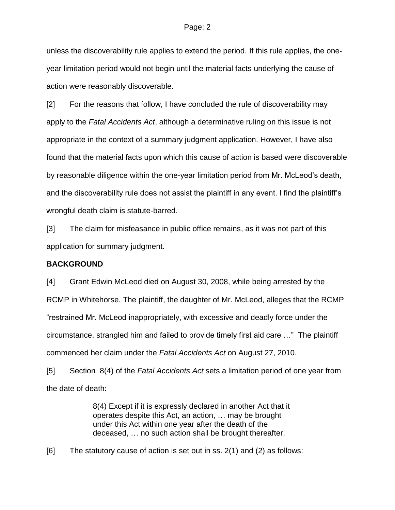unless the discoverability rule applies to extend the period. If this rule applies, the oneyear limitation period would not begin until the material facts underlying the cause of action were reasonably discoverable.

[2] For the reasons that follow, I have concluded the rule of discoverability may apply to the *Fatal Accidents Act*, although a determinative ruling on this issue is not appropriate in the context of a summary judgment application. However, I have also found that the material facts upon which this cause of action is based were discoverable by reasonable diligence within the one-year limitation period from Mr. McLeod's death, and the discoverability rule does not assist the plaintiff in any event. I find the plaintiff's wrongful death claim is statute-barred.

[3] The claim for misfeasance in public office remains, as it was not part of this application for summary judgment.

#### **BACKGROUND**

[4] Grant Edwin McLeod died on August 30, 2008, while being arrested by the RCMP in Whitehorse. The plaintiff, the daughter of Mr. McLeod, alleges that the RCMP "restrained Mr. McLeod inappropriately, with excessive and deadly force under the circumstance, strangled him and failed to provide timely first aid care …" The plaintiff commenced her claim under the *Fatal Accidents Act* on August 27, 2010.

[5] Section 8(4) of the *Fatal Accidents Act* sets a limitation period of one year from the date of death:

> 8(4) Except if it is expressly declared in another Act that it operates despite this Act, an action, … may be brought under this Act within one year after the death of the deceased, … no such action shall be brought thereafter.

[6] The statutory cause of action is set out in ss. 2(1) and (2) as follows: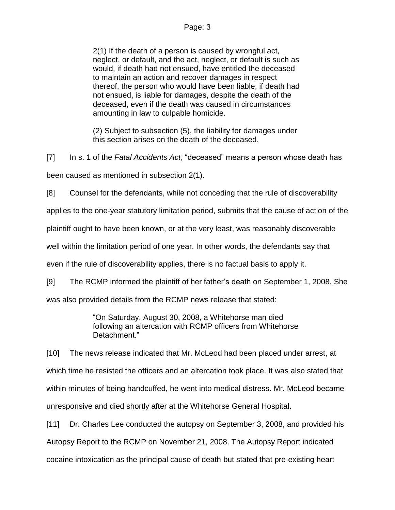2(1) If the death of a person is caused by wrongful act, neglect, or default, and the act, neglect, or default is such as would, if death had not ensued, have entitled the deceased to maintain an action and recover damages in respect thereof, the person who would have been liable, if death had not ensued, is liable for damages, despite the death of the deceased, even if the death was caused in circumstances amounting in law to culpable homicide.

(2) Subject to subsection (5), the liability for damages under this section arises on the death of the deceased.

[7] In s. 1 of the *Fatal Accidents Act*, "deceased" means a person whose death has been caused as mentioned in subsection 2(1).

[8] Counsel for the defendants, while not conceding that the rule of discoverability

applies to the one-year statutory limitation period, submits that the cause of action of the

plaintiff ought to have been known, or at the very least, was reasonably discoverable

well within the limitation period of one year. In other words, the defendants say that

even if the rule of discoverability applies, there is no factual basis to apply it.

[9] The RCMP informed the plaintiff of her father's death on September 1, 2008. She

was also provided details from the RCMP news release that stated:

"On Saturday, August 30, 2008, a Whitehorse man died following an altercation with RCMP officers from Whitehorse Detachment."

[10] The news release indicated that Mr. McLeod had been placed under arrest, at which time he resisted the officers and an altercation took place. It was also stated that within minutes of being handcuffed, he went into medical distress. Mr. McLeod became unresponsive and died shortly after at the Whitehorse General Hospital.

[11] Dr. Charles Lee conducted the autopsy on September 3, 2008, and provided his Autopsy Report to the RCMP on November 21, 2008. The Autopsy Report indicated cocaine intoxication as the principal cause of death but stated that pre-existing heart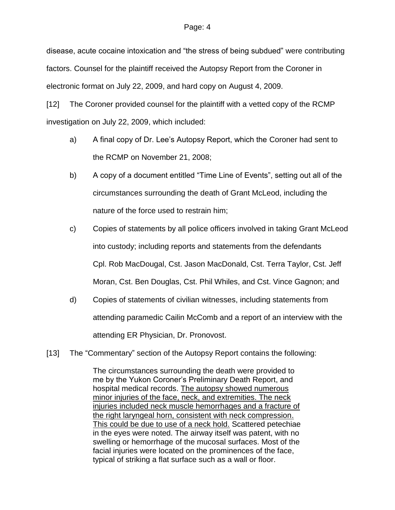disease, acute cocaine intoxication and "the stress of being subdued" were contributing factors. Counsel for the plaintiff received the Autopsy Report from the Coroner in electronic format on July 22, 2009, and hard copy on August 4, 2009.

[12] The Coroner provided counsel for the plaintiff with a vetted copy of the RCMP investigation on July 22, 2009, which included:

- a) A final copy of Dr. Lee's Autopsy Report, which the Coroner had sent to the RCMP on November 21, 2008;
- b) A copy of a document entitled "Time Line of Events", setting out all of the circumstances surrounding the death of Grant McLeod, including the nature of the force used to restrain him;
- c) Copies of statements by all police officers involved in taking Grant McLeod into custody; including reports and statements from the defendants Cpl. Rob MacDougal, Cst. Jason MacDonald, Cst. Terra Taylor, Cst. Jeff Moran, Cst. Ben Douglas, Cst. Phil Whiles, and Cst. Vince Gagnon; and
- d) Copies of statements of civilian witnesses, including statements from attending paramedic Cailin McComb and a report of an interview with the attending ER Physician, Dr. Pronovost.
- [13] The "Commentary" section of the Autopsy Report contains the following:

The circumstances surrounding the death were provided to me by the Yukon Coroner's Preliminary Death Report, and hospital medical records. The autopsy showed numerous minor injuries of the face, neck, and extremities. The neck injuries included neck muscle hemorrhages and a fracture of the right laryngeal horn, consistent with neck compression. This could be due to use of a neck hold. Scattered petechiae in the eyes were noted. The airway itself was patent, with no swelling or hemorrhage of the mucosal surfaces. Most of the facial injuries were located on the prominences of the face, typical of striking a flat surface such as a wall or floor.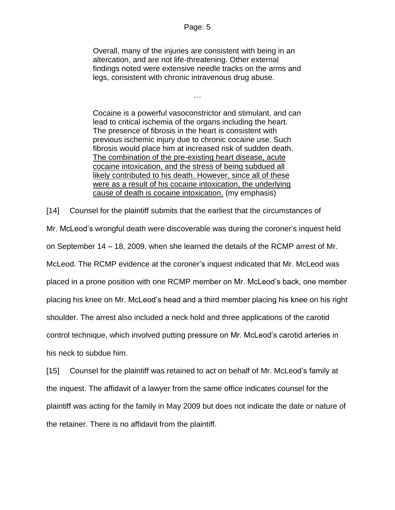Overall, many of the injuries are consistent with being in an altercation, and are not life-threatening. Other external findings noted were extensive needle tracks on the arms and legs, consistent with chronic intravenous drug abuse.

…

Cocaine is a powerful vasoconstrictor and stimulant, and can lead to critical ischemia of the organs including the heart. The presence of fibrosis in the heart is consistent with previous ischemic injury due to chronic cocaine use. Such fibrosis would place him at increased risk of sudden death. The combination of the pre-existing heart disease, acute cocaine intoxication, and the stress of being subdued all likely contributed to his death. However, since all of these were as a result of his cocaine intoxication, the underlying cause of death is cocaine intoxication. (my emphasis)

[14] Counsel for the plaintiff submits that the earliest that the circumstances of

Mr. McLeod's wrongful death were discoverable was during the coroner's inquest held on September 14 – 18, 2009, when she learned the details of the RCMP arrest of Mr. McLeod. The RCMP evidence at the coroner's inquest indicated that Mr. McLeod was placed in a prone position with one RCMP member on Mr. McLeod's back, one member placing his knee on Mr. McLeod's head and a third member placing his knee on his right shoulder. The arrest also included a neck hold and three applications of the carotid control technique, which involved putting pressure on Mr. McLeod's carotid arteries in his neck to subdue him.

[15] Counsel for the plaintiff was retained to act on behalf of Mr. McLeod's family at the inquest. The affidavit of a lawyer from the same office indicates counsel for the plaintiff was acting for the family in May 2009 but does not indicate the date or nature of the retainer. There is no affidavit from the plaintiff.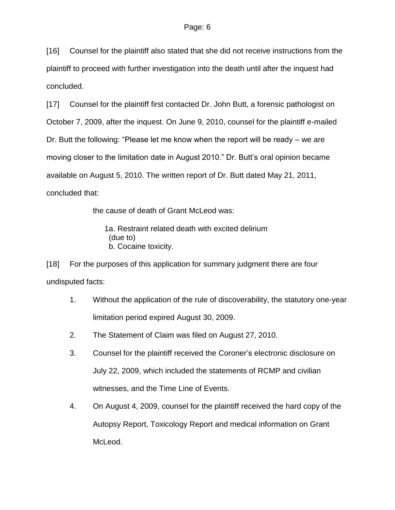[16] Counsel for the plaintiff also stated that she did not receive instructions from the plaintiff to proceed with further investigation into the death until after the inquest had concluded.

[17] Counsel for the plaintiff first contacted Dr. John Butt, a forensic pathologist on October 7, 2009, after the inquest. On June 9, 2010, counsel for the plaintiff e-mailed Dr. Butt the following: "Please let me know when the report will be ready – we are moving closer to the limitation date in August 2010." Dr. Butt's oral opinion became available on August 5, 2010. The written report of Dr. Butt dated May 21, 2011, concluded that:

the cause of death of Grant McLeod was:

1a. Restraint related death with excited delirium (due to) b. Cocaine toxicity.

[18] For the purposes of this application for summary judgment there are four undisputed facts:

- 1. Without the application of the rule of discoverability, the statutory one-year limitation period expired August 30, 2009.
- 2. The Statement of Claim was filed on August 27, 2010.
- 3. Counsel for the plaintiff received the Coroner's electronic disclosure on July 22, 2009, which included the statements of RCMP and civilian witnesses, and the Time Line of Events.
- 4. On August 4, 2009, counsel for the plaintiff received the hard copy of the Autopsy Report, Toxicology Report and medical information on Grant McLeod.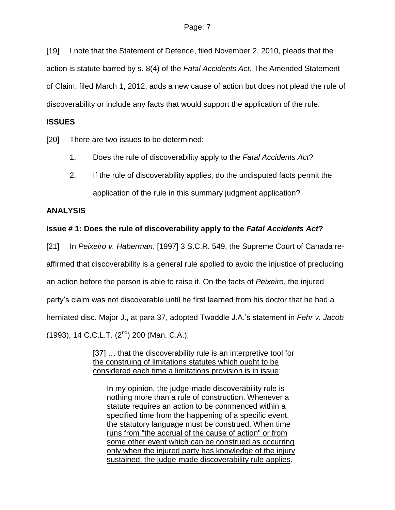[19] I note that the Statement of Defence, filed November 2, 2010, pleads that the action is statute-barred by s. 8(4) of the *Fatal Accidents Act*. The Amended Statement of Claim, filed March 1, 2012, adds a new cause of action but does not plead the rule of discoverability or include any facts that would support the application of the rule.

### **ISSUES**

[20] There are two issues to be determined:

- 1. Does the rule of discoverability apply to the *Fatal Accidents Act*?
- 2. If the rule of discoverability applies, do the undisputed facts permit the application of the rule in this summary judgment application?

## **ANALYSIS**

## **Issue # 1: Does the rule of discoverability apply to the** *Fatal Accidents Act***?**

[21] In *Peixeiro v. Haberman*, [1997] 3 S.C.R. 549, the Supreme Court of Canada reaffirmed that discoverability is a general rule applied to avoid the injustice of precluding an action before the person is able to raise it. On the facts of *Peixeiro*, the injured party's claim was not discoverable until he first learned from his doctor that he had a herniated disc. Major J., at para 37, adopted Twaddle J.A.'s statement in *Fehr v. Jacob* (1993), 14 C.C.L.T. (2<sup>nd</sup>) 200 (Man. C.A.):

> [37] ... that the discoverability rule is an interpretive tool for the construing of limitations statutes which ought to be considered each time a limitations provision is in issue:

In my opinion, the judge-made discoverability rule is nothing more than a rule of construction. Whenever a statute requires an action to be commenced within a specified time from the happening of a specific event, the statutory language must be construed. When time runs from "the accrual of the cause of action" or from some other event which can be construed as occurring only when the injured party has knowledge of the injury sustained, the judge-made discoverability rule applies.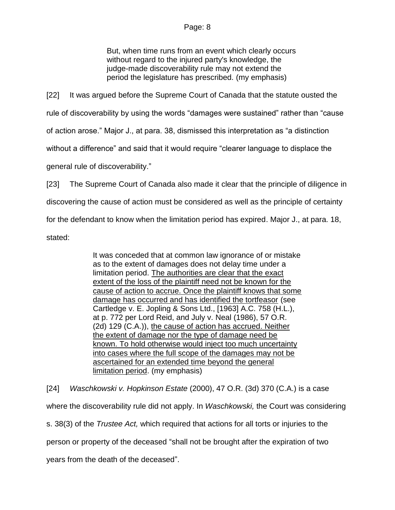But, when time runs from an event which clearly occurs without regard to the injured party's knowledge, the judge-made discoverability rule may not extend the period the legislature has prescribed. (my emphasis)

[22] It was argued before the Supreme Court of Canada that the statute ousted the rule of discoverability by using the words "damages were sustained" rather than "cause of action arose." Major J., at para. 38, dismissed this interpretation as "a distinction without a difference" and said that it would require "clearer language to displace the

general rule of discoverability."

[23] The Supreme Court of Canada also made it clear that the principle of diligence in

discovering the cause of action must be considered as well as the principle of certainty

for the defendant to know when the limitation period has expired. Major J., at para. 18,

stated:

It was conceded that at common law ignorance of or mistake as to the extent of damages does not delay time under a limitation period. The authorities are clear that the exact extent of the loss of the plaintiff need not be known for the cause of action to accrue. Once the plaintiff knows that some damage has occurred and has identified the tortfeasor (see Cartledge v. E. Jopling & Sons Ltd., [1963] A.C. 758 (H.L.), at p. 772 per Lord Reid, and July v. Neal [\(1986\), 57 O.R.](http://www.lexisnexis.com/ca/legal/search/runRemoteLink.do?langcountry=CA&linkInfo=F%23CA%23OR2%23decisiondate%251986%25sel2%2557%25year%251986%25page%25129%25sel1%251986%25vol%2557%25&risb=21_T16039369265&bct=A&service=citation&A=0.9595212807262975)  [\(2d\) 129](http://www.lexisnexis.com/ca/legal/search/runRemoteLink.do?langcountry=CA&linkInfo=F%23CA%23OR2%23decisiondate%251986%25sel2%2557%25year%251986%25page%25129%25sel1%251986%25vol%2557%25&risb=21_T16039369265&bct=A&service=citation&A=0.9595212807262975) (C.A.)), the cause of action has accrued. Neither the extent of damage nor the type of damage need be known. To hold otherwise would inject too much uncertainty into cases where the full scope of the damages may not be ascertained for an extended time beyond the general limitation period. (my emphasis)

[24] *Waschkowski v. Hopkinson Estate* (2000), 47 O.R. (3d) 370 (C.A.) is a case where the discoverability rule did not apply. In *Waschkowski,* the Court was considering s. 38(3) of the *Trustee Act,* which required that actions for all torts or injuries to the person or property of the deceased "shall not be brought after the expiration of two years from the death of the deceased".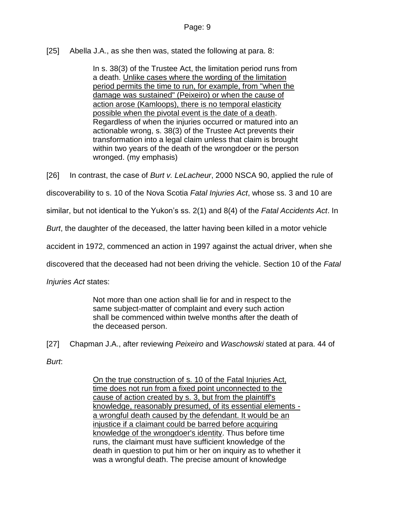## [25] Abella J.A., as she then was, stated the following at para. 8:

In s. 38(3) of the Trustee Act, the limitation period runs from a death. Unlike cases where the wording of the limitation period permits the time to run, for example, from "when the damage was sustained" (Peixeiro) or when the cause of action arose (Kamloops), there is no temporal elasticity possible when the pivotal event is the date of a death. Regardless of when the injuries occurred or matured into an actionable wrong, s. 38(3) of the Trustee Act prevents their transformation into a legal claim unless that claim is brought within two years of the death of the wrongdoer or the person wronged. (my emphasis)

[26] In contrast, the case of *Burt v. LeLacheur*, 2000 NSCA 90, applied the rule of

discoverability to s. 10 of the Nova Scotia *Fatal Injuries Act*, whose ss. 3 and 10 are

similar, but not identical to the Yukon's ss. 2(1) and 8(4) of the *Fatal Accidents Act*. In

*Burt*, the daughter of the deceased, the latter having been killed in a motor vehicle

accident in 1972, commenced an action in 1997 against the actual driver, when she

discovered that the deceased had not been driving the vehicle. Section 10 of the *Fatal* 

*Injuries Act* states:

Not more than one action shall lie for and in respect to the same subject-matter of complaint and every such action shall be commenced within twelve months after the death of the deceased person.

[27] Chapman J.A., after reviewing *Peixeiro* and *Waschowski* stated at para. 44 of

*Burt*:

On the true construction of s. 10 of the Fatal Injuries Act, time does not run from a fixed point unconnected to the cause of action created by s. 3, but from the plaintiff's knowledge, reasonably presumed, of its essential elements a wrongful death caused by the defendant. It would be an injustice if a claimant could be barred before acquiring knowledge of the wrongdoer's identity. Thus before time runs, the claimant must have sufficient knowledge of the death in question to put him or her on inquiry as to whether it was a wrongful death. The precise amount of knowledge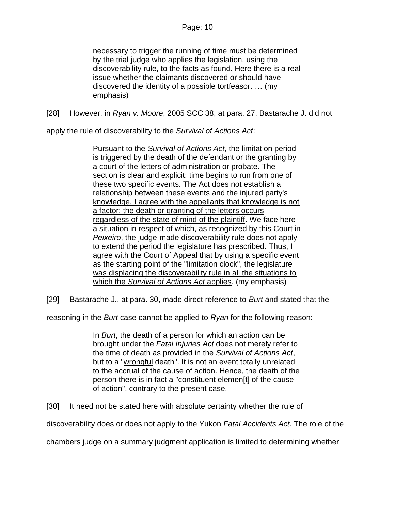necessary to trigger the running of time must be determined by the trial judge who applies the legislation, using the discoverability rule, to the facts as found. Here there is a real issue whether the claimants discovered or should have discovered the identity of a possible tortfeasor. … (my emphasis)

[28] However, in *Ryan v. Moore*, 2005 SCC 38, at para. 27, Bastarache J. did not

apply the rule of discoverability to the *Survival of Actions Act*:

Pursuant to the *Survival of Actions Act*, the limitation period is triggered by the death of the defendant or the granting by a court of the letters of administration or probate. The section is clear and explicit: time begins to run from one of these two specific events. The Act does not establish a relationship between these events and the injured party's knowledge. I agree with the appellants that knowledge is not a factor: the death or granting of the letters occurs regardless of the state of mind of the plaintiff. We face here a situation in respect of which, as recognized by this Court in *Peixeiro*, the judge-made discoverability rule does not apply to extend the period the legislature has prescribed. Thus, I agree with the Court of Appeal that by using a specific event as the starting point of the "limitation clock", the legislature was displacing the discoverability rule in all the situations to which the *Survival of Actions Act* applies. (my emphasis)

[29] Bastarache J., at para. 30, made direct reference to *Burt* and stated that the

reasoning in the *Burt* case cannot be applied to *Ryan* for the following reason:

In *Burt*, the death of a person for which an action can be brought under the *Fatal Injuries Act* does not merely refer to the time of death as provided in the *Survival of Actions Act*, but to a "wrongful death". It is not an event totally unrelated to the accrual of the cause of action. Hence, the death of the person there is in fact a "constituent elemen[t] of the cause of action", contrary to the present case.

[30] It need not be stated here with absolute certainty whether the rule of

discoverability does or does not apply to the Yukon *Fatal Accidents Act*. The role of the

chambers judge on a summary judgment application is limited to determining whether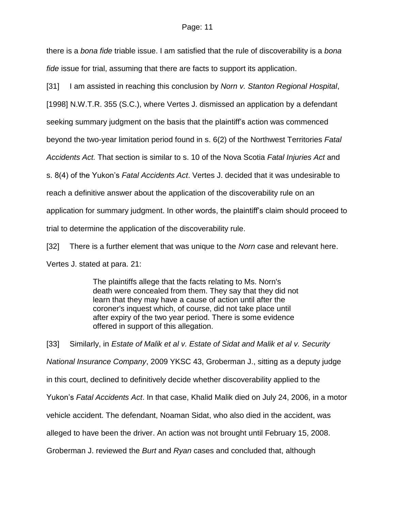there is a *bona fide* triable issue. I am satisfied that the rule of discoverability is a *bona fide* issue for trial, assuming that there are facts to support its application.

[31] I am assisted in reaching this conclusion by *Norn v. Stanton Regional Hospital*,

[1998] N.W.T.R. 355 (S.C.), where Vertes J. dismissed an application by a defendant

seeking summary judgment on the basis that the plaintiff's action was commenced

beyond the two-year limitation period found in s. 6(2) of the Northwest Territories *Fatal* 

*Accidents Act.* That section is similar to s. 10 of the Nova Scotia *Fatal Injuries Act* and

s. 8(4) of the Yukon's *Fatal Accidents Act*. Vertes J. decided that it was undesirable to

reach a definitive answer about the application of the discoverability rule on an

application for summary judgment. In other words, the plaintiff's claim should proceed to

trial to determine the application of the discoverability rule.

[32] There is a further element that was unique to the *Norn* case and relevant here.

Vertes J. stated at para. 21:

The plaintiffs allege that the facts relating to Ms. Norn's death were concealed from them. They say that they did not learn that they may have a cause of action until after the coroner's inquest which, of course, did not take place until after expiry of the two year period. There is some evidence offered in support of this allegation.

[33] Similarly, in *Estate of Malik et al v. Estate of Sidat and Malik et al v. Security National Insurance Company*, 2009 YKSC 43, Groberman J., sitting as a deputy judge in this court, declined to definitively decide whether discoverability applied to the Yukon's *Fatal Accidents Act*. In that case, Khalid Malik died on July 24, 2006, in a motor vehicle accident. The defendant, Noaman Sidat, who also died in the accident, was alleged to have been the driver. An action was not brought until February 15, 2008. Groberman J. reviewed the *Burt* and *Ryan* cases and concluded that, although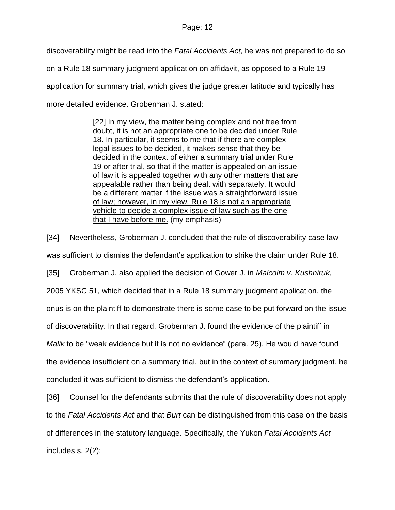discoverability might be read into the *Fatal Accidents Act*, he was not prepared to do so on a Rule 18 summary judgment application on affidavit, as opposed to a Rule 19 application for summary trial, which gives the judge greater latitude and typically has more detailed evidence. Groberman J. stated:

> [22] In my view, the matter being complex and not free from doubt, it is not an appropriate one to be decided under Rule 18. In particular, it seems to me that if there are complex legal issues to be decided, it makes sense that they be decided in the context of either a summary trial under Rule 19 or after trial, so that if the matter is appealed on an issue of law it is appealed together with any other matters that are appealable rather than being dealt with separately. It would be a different matter if the issue was a straightforward issue of law; however, in my view, Rule 18 is not an appropriate vehicle to decide a complex issue of law such as the one that I have before me. (my emphasis)

[34] Nevertheless, Groberman J. concluded that the rule of discoverability case law was sufficient to dismiss the defendant's application to strike the claim under Rule 18. [35] Groberman J. also applied the decision of Gower J. in *Malcolm v. Kushniruk*, 2005 YKSC 51, which decided that in a Rule 18 summary judgment application, the onus is on the plaintiff to demonstrate there is some case to be put forward on the issue of discoverability. In that regard, Groberman J. found the evidence of the plaintiff in *Malik* to be "weak evidence but it is not no evidence" (para. 25). He would have found the evidence insufficient on a summary trial, but in the context of summary judgment, he concluded it was sufficient to dismiss the defendant's application.

[36] Counsel for the defendants submits that the rule of discoverability does not apply

to the *Fatal Accidents Act* and that *Burt* can be distinguished from this case on the basis

of differences in the statutory language. Specifically, the Yukon *Fatal Accidents Act*

includes s. 2(2):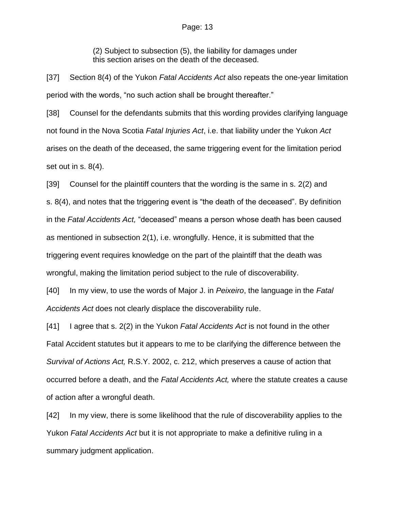(2) Subject to subsection (5), the liability for damages under this section arises on the death of the deceased.

[37] Section 8(4) of the Yukon *Fatal Accidents Act* also repeats the one-year limitation period with the words, "no such action shall be brought thereafter."

[38] Counsel for the defendants submits that this wording provides clarifying language not found in the Nova Scotia *Fatal Injuries Act*, i.e. that liability under the Yukon *Act*  arises on the death of the deceased, the same triggering event for the limitation period set out in s. 8(4).

[39] Counsel for the plaintiff counters that the wording is the same in s. 2(2) and s. 8(4), and notes that the triggering event is "the death of the deceased". By definition in the *Fatal Accidents Act,* "deceased" means a person whose death has been caused as mentioned in subsection 2(1), i.e. wrongfully. Hence, it is submitted that the triggering event requires knowledge on the part of the plaintiff that the death was wrongful, making the limitation period subject to the rule of discoverability.

[40] In my view, to use the words of Major J. in *Peixeiro*, the language in the *Fatal Accidents Act* does not clearly displace the discoverability rule.

[41] I agree that s. 2(2) in the Yukon *Fatal Accidents Act* is not found in the other Fatal Accident statutes but it appears to me to be clarifying the difference between the *Survival of Actions Act,* R.S.Y. 2002, c. 212, which preserves a cause of action that occurred before a death, and the *Fatal Accidents Act,* where the statute creates a cause of action after a wrongful death.

[42] In my view, there is some likelihood that the rule of discoverability applies to the Yukon *Fatal Accidents Act* but it is not appropriate to make a definitive ruling in a summary judgment application.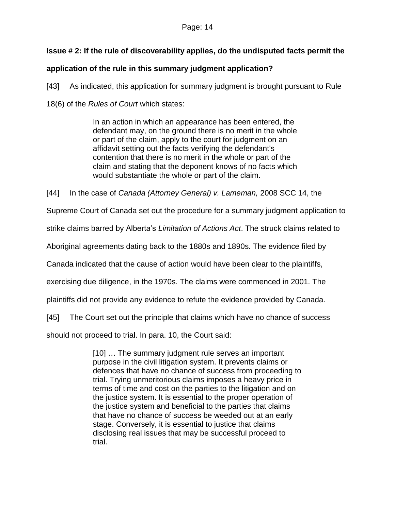# **Issue # 2: If the rule of discoverability applies, do the undisputed facts permit the**

# **application of the rule in this summary judgment application?**

[43] As indicated, this application for summary judgment is brought pursuant to Rule

18(6) of the *Rules of Court* which states:

In an action in which an appearance has been entered, the defendant may, on the ground there is no merit in the whole or part of the claim, apply to the court for judgment on an affidavit setting out the facts verifying the defendant's contention that there is no merit in the whole or part of the claim and stating that the deponent knows of no facts which would substantiate the whole or part of the claim.

[44] In the case of *Canada (Attorney General) v. Lameman,* 2008 SCC 14, the

Supreme Court of Canada set out the procedure for a summary judgment application to

strike claims barred by Alberta's *Limitation of Actions Act*. The struck claims related to

Aboriginal agreements dating back to the 1880s and 1890s. The evidence filed by

Canada indicated that the cause of action would have been clear to the plaintiffs,

exercising due diligence, in the 1970s. The claims were commenced in 2001. The

plaintiffs did not provide any evidence to refute the evidence provided by Canada.

[45] The Court set out the principle that claims which have no chance of success

should not proceed to trial. In para. 10, the Court said:

[10] … The summary judgment rule serves an important purpose in the civil litigation system. It prevents claims or defences that have no chance of success from proceeding to trial. Trying unmeritorious claims imposes a heavy price in terms of time and cost on the parties to the litigation and on the justice system. It is essential to the proper operation of the justice system and beneficial to the parties that claims that have no chance of success be weeded out at an early stage. Conversely, it is essential to justice that claims disclosing real issues that may be successful proceed to trial.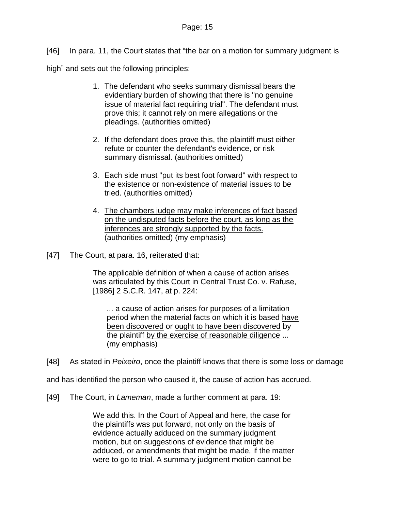[46] In para. 11, the Court states that "the bar on a motion for summary judgment is

high" and sets out the following principles:

- 1. The defendant who seeks summary dismissal bears the evidentiary burden of showing that there is "no genuine issue of material fact requiring trial". The defendant must prove this; it cannot rely on mere allegations or the pleadings. (authorities omitted)
- 2. If the defendant does prove this, the plaintiff must either refute or counter the defendant's evidence, or risk summary dismissal. (authorities omitted)
- 3. Each side must "put its best foot forward" with respect to the existence or non-existence of material issues to be tried. (authorities omitted)
- 4. The chambers judge may make inferences of fact based on the undisputed facts before the court, as long as the inferences are strongly supported by the facts. (authorities omitted) (my emphasis)
- [47] The Court, at para. 16, reiterated that:

The applicable definition of when a cause of action arises was articulated by this Court in Central Trust Co. v. Rafuse, [\[1986\] 2 S.C.R. 147,](http://www.lexisnexis.com/ca/legal/search/runRemoteLink.do?langcountry=CA&linkInfo=F%23CA%23SCR%23sel2%252%25year%251986%25page%25147%25sel1%251986%25vol%252%25&risb=21_T16041310654&bct=A&service=citation&A=0.678405834566829) at p. 224:

... a cause of action arises for purposes of a limitation period when the material facts on which it is based have been discovered or ought to have been discovered by the plaintiff by the exercise of reasonable diligence ... (my emphasis)

[48] As stated in *Peixeiro*, once the plaintiff knows that there is some loss or damage

and has identified the person who caused it, the cause of action has accrued.

[49] The Court, in *Lameman*, made a further comment at para. 19:

We add this. In the Court of Appeal and here, the case for the plaintiffs was put forward, not only on the basis of evidence actually adduced on the summary judgment motion, but on suggestions of evidence that might be adduced, or amendments that might be made, if the matter were to go to trial. A summary judgment motion cannot be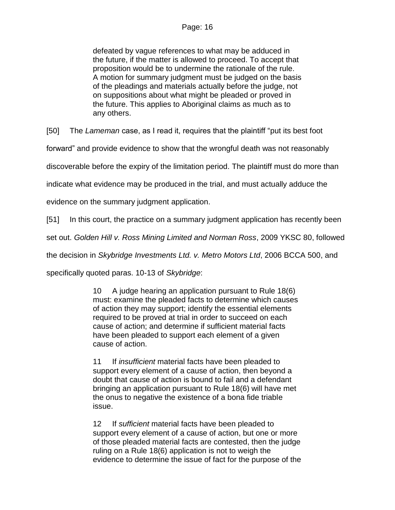defeated by vague references to what may be adduced in the future, if the matter is allowed to proceed. To accept that proposition would be to undermine the rationale of the rule. A motion for summary judgment must be judged on the basis of the pleadings and materials actually before the judge, not on suppositions about what might be pleaded or proved in the future. This applies to Aboriginal claims as much as to any others.

[50] The *Lameman* case, as I read it, requires that the plaintiff "put its best foot

forward" and provide evidence to show that the wrongful death was not reasonably

discoverable before the expiry of the limitation period. The plaintiff must do more than

indicate what evidence may be produced in the trial, and must actually adduce the

evidence on the summary judgment application.

[51] In this court, the practice on a summary judgment application has recently been

set out. *Golden Hill v. Ross Mining Limited and Norman Ross*, 2009 YKSC 80, followed

the decision in *Skybridge Investments Ltd. v. Metro Motors Ltd*, 2006 BCCA 500, and

specifically quoted paras. 10-13 of *Skybridge*:

10 A judge hearing an application pursuant to Rule 18(6) must: examine the pleaded facts to determine which causes of action they may support; identify the essential elements required to be proved at trial in order to succeed on each cause of action; and determine if sufficient material facts have been pleaded to support each element of a given cause of action.

11 If *insufficient* material facts have been pleaded to support every element of a cause of action, then beyond a doubt that cause of action is bound to fail and a defendant bringing an application pursuant to Rule 18(6) will have met the onus to negative the existence of a bona fide triable issue.

12 If *sufficient* material facts have been pleaded to support every element of a cause of action, but one or more of those pleaded material facts are contested, then the judge ruling on a Rule 18(6) application is not to weigh the evidence to determine the issue of fact for the purpose of the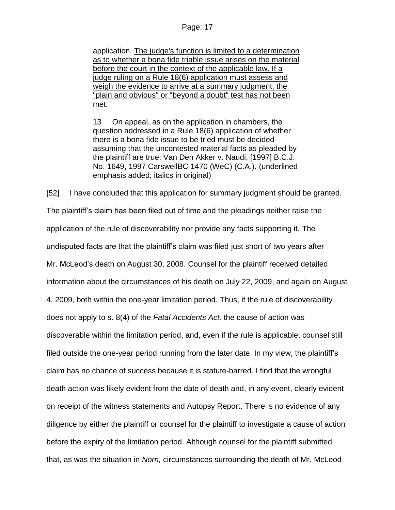application. The judge's function is limited to a determination as to whether a bona fide triable issue arises on the material before the court in the context of the applicable law. If a judge ruling on a Rule 18(6) application must assess and weigh the evidence to arrive at a summary judgment, the "plain and obvious" or "beyond a doubt" test has not been met.

13 On appeal, as on the application in chambers, the question addressed in a Rule 18(6) application of whether there is a bona fide issue to be tried must be decided assuming that the uncontested material facts as pleaded by the plaintiff are true: Van Den Akker v. Naudi, [1997] B.C.J. No. 1649, 1997 CarswellBC 1470 (WeC) (C.A.). (underlined emphasis added; italics in original)

[52] I have concluded that this application for summary judgment should be granted. The plaintiff's claim has been filed out of time and the pleadings neither raise the application of the rule of discoverability nor provide any facts supporting it. The undisputed facts are that the plaintiff's claim was filed just short of two years after Mr. McLeod's death on August 30, 2008. Counsel for the plaintiff received detailed information about the circumstances of his death on July 22, 2009, and again on August 4, 2009, both within the one-year limitation period. Thus, if the rule of discoverability does not apply to s. 8(4) of the *Fatal Accidents Act,* the cause of action was discoverable within the limitation period, and, even if the rule is applicable, counsel still filed outside the one-year period running from the later date. In my view, the plaintiff's claim has no chance of success because it is statute-barred. I find that the wrongful death action was likely evident from the date of death and, in any event, clearly evident on receipt of the witness statements and Autopsy Report. There is no evidence of any diligence by either the plaintiff or counsel for the plaintiff to investigate a cause of action before the expiry of the limitation period. Although counsel for the plaintiff submitted that, as was the situation in *Norn,* circumstances surrounding the death of Mr. McLeod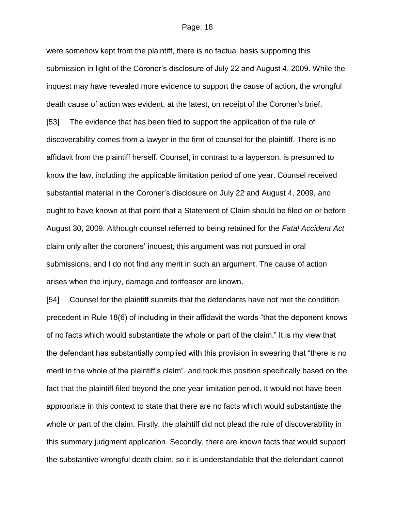were somehow kept from the plaintiff, there is no factual basis supporting this submission in light of the Coroner's disclosure of July 22 and August 4, 2009. While the inquest may have revealed more evidence to support the cause of action, the wrongful death cause of action was evident, at the latest, on receipt of the Coroner's brief. [53] The evidence that has been filed to support the application of the rule of discoverability comes from a lawyer in the firm of counsel for the plaintiff. There is no affidavit from the plaintiff herself. Counsel, in contrast to a layperson, is presumed to know the law, including the applicable limitation period of one year. Counsel received substantial material in the Coroner's disclosure on July 22 and August 4, 2009, and ought to have known at that point that a Statement of Claim should be filed on or before August 30, 2009. Although counsel referred to being retained for the *Fatal Accident Act*  claim only after the coroners' inquest, this argument was not pursued in oral submissions, and I do not find any merit in such an argument. The cause of action arises when the injury, damage and tortfeasor are known.

[54] Counsel for the plaintiff submits that the defendants have not met the condition precedent in Rule 18(6) of including in their affidavit the words "that the deponent knows of no facts which would substantiate the whole or part of the claim." It is my view that the defendant has substantially complied with this provision in swearing that "there is no merit in the whole of the plaintiff's claim", and took this position specifically based on the fact that the plaintiff filed beyond the one-year limitation period. It would not have been appropriate in this context to state that there are no facts which would substantiate the whole or part of the claim. Firstly, the plaintiff did not plead the rule of discoverability in this summary judgment application. Secondly, there are known facts that would support the substantive wrongful death claim, so it is understandable that the defendant cannot